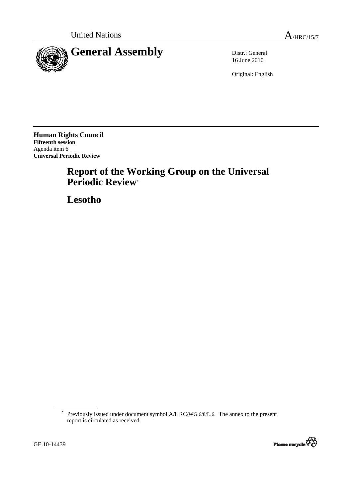

16 June 2010

Original: English

**Human Rights Council Fifteenth session**  Agenda item 6 **Universal Periodic Review** 

# **Report of the Working Group on the Universal Periodic Review**\*

 **Lesotho** 

<sup>\*</sup> Previously issued under document symbol A/HRC/WG.6/8/L.6. The annex to the present report is circulated as received.

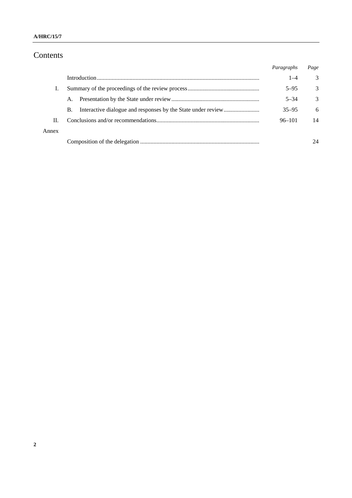# Contents

|       |    | Paragraphs | Page |
|-------|----|------------|------|
|       |    | $1 - 4$    | 3    |
| T.    |    | $5 - 95$   | 3    |
|       | A. | $5 - 34$   | 3    |
|       | В. | $35 - 95$  | 6    |
| П.    |    | $96 - 101$ | 14   |
| Annex |    |            |      |
|       |    |            | 24   |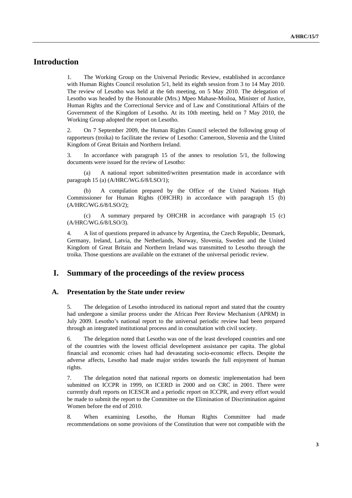# **Introduction**

1. The Working Group on the Universal Periodic Review, established in accordance with Human Rights Council resolution 5/1, held its eighth session from 3 to 14 May 2010. The review of Lesotho was held at the 6th meeting, on 5 May 2010. The delegation of Lesotho was headed by the Honourable (Mrs.) Mpeo Mahase-Moiloa, Minister of Justice, Human Rights and the Correctional Service and of Law and Constitutional Affairs of the Government of the Kingdom of Lesotho. At its 10th meeting, held on 7 May 2010, the Working Group adopted the report on Lesotho.

2. On 7 September 2009, the Human Rights Council selected the following group of rapporteurs (troika) to facilitate the review of Lesotho: Cameroon, Slovenia and the United Kingdom of Great Britain and Northern Ireland.

3. In accordance with paragraph 15 of the annex to resolution 5/1, the following documents were issued for the review of Lesotho:

 (a) A national report submitted/written presentation made in accordance with paragraph 15 (a) (A/HRC/WG.6/8/LSO/1);

A compilation prepared by the Office of the United Nations High Commissioner for Human Rights (OHCHR) in accordance with paragraph 15 (b) (A/HRC/WG.6/8/LSO/2);

 (c) A summary prepared by OHCHR in accordance with paragraph 15 (c) (A/HRC/WG.6/8/LSO/3).

4. A list of questions prepared in advance by Argentina, the Czech Republic, Denmark, Germany, Ireland, Latvia, the Netherlands, Norway, Slovenia, Sweden and the United Kingdom of Great Britain and Northern Ireland was transmitted to Lesotho through the troika. Those questions are available on the extranet of the universal periodic review.

# **I. Summary of the proceedings of the review process**

#### **A. Presentation by the State under review**

5. The delegation of Lesotho introduced its national report and stated that the country had undergone a similar process under the African Peer Review Mechanism (APRM) in July 2009. Lesotho's national report to the universal periodic review had been prepared through an integrated institutional process and in consultation with civil society.

6. The delegation noted that Lesotho was one of the least developed countries and one of the countries with the lowest official development assistance per capita. The global financial and economic crises had had devastating socio-economic effects. Despite the adverse affects, Lesotho had made major strides towards the full enjoyment of human rights.

7. The delegation noted that national reports on domestic implementation had been submitted on ICCPR in 1999, on ICERD in 2000 and on CRC in 2001. There were currently draft reports on ICESCR and a periodic report on ICCPR, and every effort would be made to submit the report to the Committee on the Elimination of Discrimination against Women before the end of 2010.

8. When examining Lesotho, the Human Rights Committee had made recommendations on some provisions of the Constitution that were not compatible with the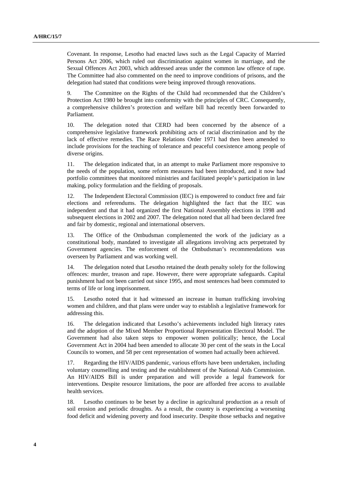Covenant. In response, Lesotho had enacted laws such as the Legal Capacity of Married Persons Act 2006, which ruled out discrimination against women in marriage, and the Sexual Offences Act 2003, which addressed areas under the common law offence of rape. The Committee had also commented on the need to improve conditions of prisons, and the delegation had stated that conditions were being improved through renovations.

9. The Committee on the Rights of the Child had recommended that the Children's Protection Act 1980 be brought into conformity with the principles of CRC. Consequently, a comprehensive children's protection and welfare bill had recently been forwarded to Parliament.

10. The delegation noted that CERD had been concerned by the absence of a comprehensive legislative framework prohibiting acts of racial discrimination and by the lack of effective remedies. The Race Relations Order 1971 had then been amended to include provisions for the teaching of tolerance and peaceful coexistence among people of diverse origins.

11. The delegation indicated that, in an attempt to make Parliament more responsive to the needs of the population, some reform measures had been introduced, and it now had portfolio committees that monitored ministries and facilitated people's participation in law making, policy formulation and the fielding of proposals.

12. The Independent Electoral Commission (IEC) is empowered to conduct free and fair elections and referendums. The delegation highlighted the fact that the IEC was independent and that it had organized the first National Assembly elections in 1998 and subsequent elections in 2002 and 2007. The delegation noted that all had been declared free and fair by domestic, regional and international observers.

13. The Office of the Ombudsman complemented the work of the judiciary as a constitutional body, mandated to investigate all allegations involving acts perpetrated by Government agencies. The enforcement of the Ombudsman's recommendations was overseen by Parliament and was working well.

14. The delegation noted that Lesotho retained the death penalty solely for the following offences: murder, treason and rape. However, there were appropriate safeguards. Capital punishment had not been carried out since 1995, and most sentences had been commuted to terms of life or long imprisonment.

15. Lesotho noted that it had witnessed an increase in human trafficking involving women and children, and that plans were under way to establish a legislative framework for addressing this.

16. The delegation indicated that Lesotho's achievements included high literacy rates and the adoption of the Mixed Member Proportional Representation Electoral Model. The Government had also taken steps to empower women politically; hence, the Local Government Act in 2004 had been amended to allocate 30 per cent of the seats in the Local Councils to women, and 58 per cent representation of women had actually been achieved.

17. Regarding the HIV/AIDS pandemic, various efforts have been undertaken, including voluntary counselling and testing and the establishment of the National Aids Commission. An HIV/AIDS Bill is under preparation and will provide a legal framework for interventions. Despite resource limitations, the poor are afforded free access to available health services.

18. Lesotho continues to be beset by a decline in agricultural production as a result of soil erosion and periodic droughts. As a result, the country is experiencing a worsening food deficit and widening poverty and food insecurity. Despite those setbacks and negative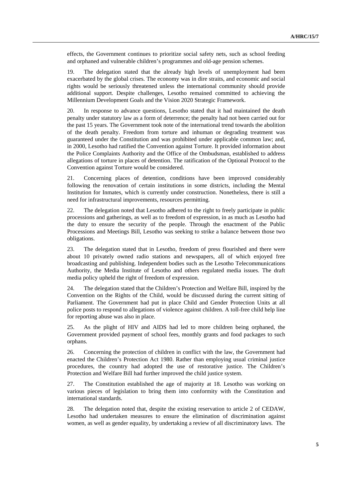effects, the Government continues to prioritize social safety nets, such as school feeding and orphaned and vulnerable children's programmes and old-age pension schemes.

19. The delegation stated that the already high levels of unemployment had been exacerbated by the global crises. The economy was in dire straits, and economic and social rights would be seriously threatened unless the international community should provide additional support. Despite challenges, Lesotho remained committed to achieving the Millennium Development Goals and the Vision 2020 Strategic Framework.

20. In response to advance questions, Lesotho stated that it had maintained the death penalty under statutory law as a form of deterrence; the penalty had not been carried out for the past 15 years. The Government took note of the international trend towards the abolition of the death penalty. Freedom from torture and inhuman or degrading treatment was guaranteed under the Constitution and was prohibited under applicable common law; and, in 2000, Lesotho had ratified the Convention against Torture. It provided information about the Police Complaints Authority and the Office of the Ombudsman, established to address allegations of torture in places of detention. The ratification of the Optional Protocol to the Convention against Torture would be considered.

21. Concerning places of detention, conditions have been improved considerably following the renovation of certain institutions in some districts, including the Mental Institution for Inmates, which is currently under construction. Nonetheless, there is still a need for infrastructural improvements, resources permitting.

22. The delegation noted that Lesotho adhered to the right to freely participate in public processions and gatherings, as well as to freedom of expression, in as much as Lesotho had the duty to ensure the security of the people. Through the enactment of the Public Processions and Meetings Bill, Lesotho was seeking to strike a balance between those two obligations.

23. The delegation stated that in Lesotho, freedom of press flourished and there were about 10 privately owned radio stations and newspapers, all of which enjoyed free broadcasting and publishing. Independent bodies such as the Lesotho Telecommunications Authority, the Media Institute of Lesotho and others regulated media issues. The draft media policy upheld the right of freedom of expression.

24. The delegation stated that the Children's Protection and Welfare Bill, inspired by the Convention on the Rights of the Child, would be discussed during the current sitting of Parliament. The Government had put in place Child and Gender Protection Units at all police posts to respond to allegations of violence against children. A toll-free child help line for reporting abuse was also in place.

25. As the plight of HIV and AIDS had led to more children being orphaned, the Government provided payment of school fees, monthly grants and food packages to such orphans.

26. Concerning the protection of children in conflict with the law, the Government had enacted the Children's Protection Act 1980. Rather than employing usual criminal justice procedures, the country had adopted the use of restorative justice. The Children's Protection and Welfare Bill had further improved the child justice system.

27. The Constitution established the age of majority at 18. Lesotho was working on various pieces of legislation to bring them into conformity with the Constitution and international standards.

28. The delegation noted that, despite the existing reservation to article 2 of CEDAW, Lesotho had undertaken measures to ensure the elimination of discrimination against women, as well as gender equality, by undertaking a review of all discriminatory laws. The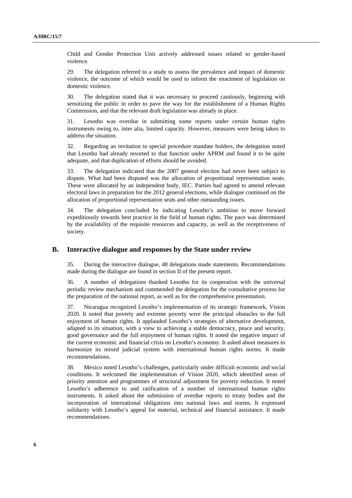Child and Gender Protection Unit actively addressed issues related to gender-based violence.

29. The delegation referred to a study to assess the prevalence and impact of domestic violence, the outcome of which would be used to inform the enactment of legislation on domestic violence.

30. The delegation stated that it was necessary to proceed cautiously, beginning with sensitizing the public in order to pave the way for the establishment of a Human Rights Commission, and that the relevant draft legislation was already in place.

31. Lesotho was overdue in submitting some reports under certain human rights instruments owing to, inter alia, limited capacity. However, measures were being taken to address the situation.

32. Regarding an invitation to special procedure mandate holders, the delegation noted that Lesotho had already resorted to that function under APRM and found it to be quite adequate, and that duplication of efforts should be avoided.

33. The delegation indicated that the 2007 general election had never been subject to dispute. What had been disputed was the allocation of proportional representation seats. These were allocated by an independent body, IEC. Parties had agreed to amend relevant electoral laws in preparation for the 2012 general elections, while dialogue continued on the allocation of proportional representation seats and other outstanding issues.

34. The delegation concluded by indicating Lesotho's ambition to move forward expeditiously towards best practice in the field of human rights. The pace was determined by the availability of the requisite resources and capacity, as well as the receptiveness of society.

#### **B. Interactive dialogue and responses by the State under review**

35. During the interactive dialogue, 48 delegations made statements. Recommendations made during the dialogue are found in section II of the present report.

36. A number of delegations thanked Lesotho for its cooperation with the universal periodic review mechanism and commended the delegation for the consultative process for the preparation of the national report, as well as for the comprehensive presentation.

37. Nicaragua recognized Lesotho's implementation of its strategic framework, Vision 2020. It noted that poverty and extreme poverty were the principal obstacles to the full enjoyment of human rights. It applauded Lesotho's strategies of alternative development, adapted to its situation, with a view to achieving a stable democracy, peace and security, good governance and the full enjoyment of human rights. It noted the negative impact of the current economic and financial crisis on Lesotho's economy. It asked about measures to harmonize its mixed judicial system with international human rights norms. It made recommendations.

38. Mexico noted Lesotho's challenges, particularly under difficult economic and social conditions. It welcomed the implementation of Vision 2020, which identified areas of priority attention and programmes of structural adjustment for poverty reduction. It noted Lesotho's adherence to and ratification of a number of international human rights instruments. It asked about the submission of overdue reports to treaty bodies and the incorporation of international obligations into national laws and norms. It expressed solidarity with Lesotho's appeal for material, technical and financial assistance. It made recommendations.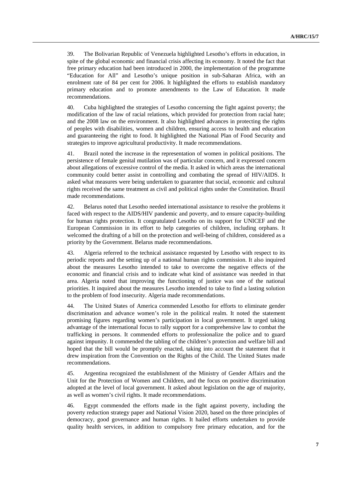39. The Bolivarian Republic of Venezuela highlighted Lesotho's efforts in education, in spite of the global economic and financial crisis affecting its economy. It noted the fact that free primary education had been introduced in 2000, the implementation of the programme "Education for All" and Lesotho's unique position in sub-Saharan Africa, with an enrolment rate of 84 per cent for 2006. It highlighted the efforts to establish mandatory primary education and to promote amendments to the Law of Education. It made recommendations.

40. Cuba highlighted the strategies of Lesotho concerning the fight against poverty; the modification of the law of racial relations, which provided for protection from racial hate; and the 2008 law on the environment. It also highlighted advances in protecting the rights of peoples with disabilities, women and children, ensuring access to health and education and guaranteeing the right to food. It highlighted the National Plan of Food Security and strategies to improve agricultural productivity. It made recommendations.

41. Brazil noted the increase in the representation of women in political positions. The persistence of female genital mutilation was of particular concern, and it expressed concern about allegations of excessive control of the media. It asked in which areas the international community could better assist in controlling and combating the spread of HIV/AIDS. It asked what measures were being undertaken to guarantee that social, economic and cultural rights received the same treatment as civil and political rights under the Constitution. Brazil made recommendations.

42. Belarus noted that Lesotho needed international assistance to resolve the problems it faced with respect to the AIDS/HIV pandemic and poverty, and to ensure capacity-building for human rights protection. It congratulated Lesotho on its support for UNICEF and the European Commission in its effort to help categories of children, including orphans. It welcomed the drafting of a bill on the protection and well-being of children, considered as a priority by the Government. Belarus made recommendations.

43. Algeria referred to the technical assistance requested by Lesotho with respect to its periodic reports and the setting up of a national human rights commission. It also inquired about the measures Lesotho intended to take to overcome the negative effects of the economic and financial crisis and to indicate what kind of assistance was needed in that area. Algeria noted that improving the functioning of justice was one of the national priorities. It inquired about the measures Lesotho intended to take to find a lasting solution to the problem of food insecurity. Algeria made recommendations.

44. The United States of America commended Lesotho for efforts to eliminate gender discrimination and advance women's role in the political realm. It noted the statement promising figures regarding women's participation in local government. It urged taking advantage of the international focus to rally support for a comprehensive law to combat the trafficking in persons. It commended efforts to professionalize the police and to guard against impunity. It commended the tabling of the children's protection and welfare bill and hoped that the bill would be promptly enacted, taking into account the statement that it drew inspiration from the Convention on the Rights of the Child. The United States made recommendations.

45. Argentina recognized the establishment of the Ministry of Gender Affairs and the Unit for the Protection of Women and Children, and the focus on positive discrimination adopted at the level of local government. It asked about legislation on the age of majority, as well as women's civil rights. It made recommendations.

46. Egypt commended the efforts made in the fight against poverty, including the poverty reduction strategy paper and National Vision 2020, based on the three principles of democracy, good governance and human rights. It hailed efforts undertaken to provide quality health services, in addition to compulsory free primary education, and for the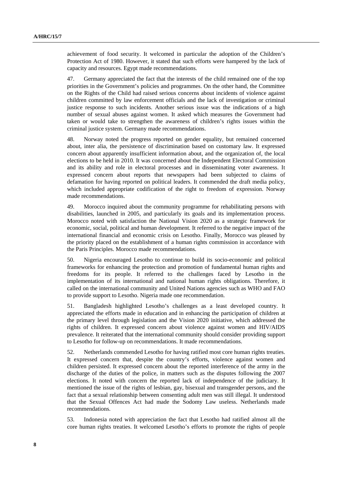achievement of food security. It welcomed in particular the adoption of the Children's Protection Act of 1980. However, it stated that such efforts were hampered by the lack of capacity and resources. Egypt made recommendations.

47. Germany appreciated the fact that the interests of the child remained one of the top priorities in the Government's policies and programmes. On the other hand, the Committee on the Rights of the Child had raised serious concerns about incidents of violence against children committed by law enforcement officials and the lack of investigation or criminal justice response to such incidents. Another serious issue was the indications of a high number of sexual abuses against women. It asked which measures the Government had taken or would take to strengthen the awareness of children's rights issues within the criminal justice system. Germany made recommendations.

48. Norway noted the progress reported on gender equality, but remained concerned about, inter alia, the persistence of discrimination based on customary law. It expressed concern about apparently insufficient information about, and the organization of, the local elections to be held in 2010. It was concerned about the Independent Electoral Commission and its ability and role in electoral processes and in disseminating voter awareness. It expressed concern about reports that newspapers had been subjected to claims of defamation for having reported on political leaders. It commended the draft media policy, which included appropriate codification of the right to freedom of expression. Norway made recommendations.

49. Morocco inquired about the community programme for rehabilitating persons with disabilities, launched in 2005, and particularly its goals and its implementation process. Morocco noted with satisfaction the National Vision 2020 as a strategic framework for economic, social, political and human development. It referred to the negative impact of the international financial and economic crisis on Lesotho. Finally, Morocco was pleased by the priority placed on the establishment of a human rights commission in accordance with the Paris Principles. Morocco made recommendations.

50. Nigeria encouraged Lesotho to continue to build its socio-economic and political frameworks for enhancing the protection and promotion of fundamental human rights and freedoms for its people. It referred to the challenges faced by Lesotho in the implementation of its international and national human rights obligations. Therefore, it called on the international community and United Nations agencies such as WHO and FAO to provide support to Lesotho. Nigeria made one recommendation.

51. Bangladesh highlighted Lesotho's challenges as a least developed country. It appreciated the efforts made in education and in enhancing the participation of children at the primary level through legislation and the Vision 2020 initiative, which addressed the rights of children. It expressed concern about violence against women and HIV/AIDS prevalence. It reiterated that the international community should consider providing support to Lesotho for follow-up on recommendations. It made recommendations.

52. Netherlands commended Lesotho for having ratified most core human rights treaties. It expressed concern that, despite the country's efforts, violence against women and children persisted. It expressed concern about the reported interference of the army in the discharge of the duties of the police, in matters such as the disputes following the 2007 elections. It noted with concern the reported lack of independence of the judiciary. It mentioned the issue of the rights of lesbian, gay, bisexual and transgender persons, and the fact that a sexual relationship between consenting adult men was still illegal. It understood that the Sexual Offences Act had made the Sodomy Law useless. Netherlands made recommendations.

53. Indonesia noted with appreciation the fact that Lesotho had ratified almost all the core human rights treaties. It welcomed Lesotho's efforts to promote the rights of people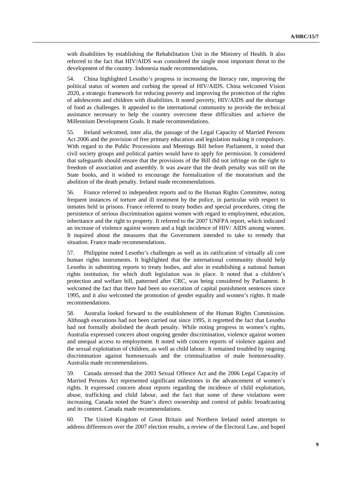with disabilities by establishing the Rehabilitation Unit in the Ministry of Health. It also referred to the fact that HIV/AIDS was considered the single most important threat to the development of the country. Indonesia made recommendations**.** 

54. China highlighted Lesotho's progress in increasing the literacy rate, improving the political status of women and curbing the spread of HIV/AIDS. China welcomed Vision 2020, a strategic framework for reducing poverty and improving the protection of the rights of adolescents and children with disabilities. It noted poverty, HIV/AIDS and the shortage of food as challenges. It appealed to the international community to provide the technical assistance necessary to help the country overcome these difficulties and achieve the Millennium Development Goals. It made recommendations.

55. Ireland welcomed, inter alia, the passage of the Legal Capacity of Married Persons Act 2006 and the provision of free primary education and legislation making it compulsory. With regard to the Public Processions and Meetings Bill before Parliament, it noted that civil society groups and political parties would have to apply for permission. It considered that safeguards should ensure that the provisions of the Bill did not infringe on the right to freedom of association and assembly. It was aware that the death penalty was still on the State books, and it wished to encourage the formalization of the moratorium and the abolition of the death penalty. Ireland made recommendations.

56. France referred to independent reports and to the Human Rights Committee, noting frequent instances of torture and ill treatment by the police, in particular with respect to inmates held in prisons. France referred to treaty bodies and special procedures, citing the persistence of serious discrimination against women with regard to employment, education, inheritance and the right to property. It referred to the 2007 UNFPA report, which indicated an increase of violence against women and a high incidence of HIV/ AIDS among women. It inquired about the measures that the Government intended to take to remedy that situation. France made recommendations.

57. Philippine noted Lesotho's challenges as well as its ratification of virtually all core human rights instruments. It highlighted that the international community should help Lesotho in submitting reports to treaty bodies, and also in establishing a national human rights institution, for which draft legislation was in place. It noted that a children's protection and welfare bill, patterned after CRC, was being considered by Parliament. It welcomed the fact that there had been no execution of capital punishment sentences since 1995, and it also welcomed the promotion of gender equality and women's rights. It made recommendations.

58. Australia looked forward to the establishment of the Human Rights Commission. Although executions had not been carried out since 1995, it regretted the fact that Lesotho had not formally abolished the death penalty. While noting progress in women's rights, Australia expressed concern about ongoing gender discrimination, violence against women and unequal access to employment. It noted with concern reports of violence against and the sexual exploitation of children, as well as child labour. It remained troubled by ongoing discrimination against homosexuals and the criminalization of male homosexuality. Australia made recommendations.

59. Canada stressed that the 2003 Sexual Offence Act and the 2006 Legal Capacity of Married Persons Act represented significant milestones in the advancement of women's rights. It expressed concern about reports regarding the incidence of child exploitation, abuse, trafficking and child labour, and the fact that some of these violations were increasing. Canada noted the State's direct ownership and control of public broadcasting and its content. Canada made recommendations.

60. The United Kingdom of Great Britain and Northern Ireland noted attempts to address differences over the 2007 election results, a review of the Electoral Law, and hoped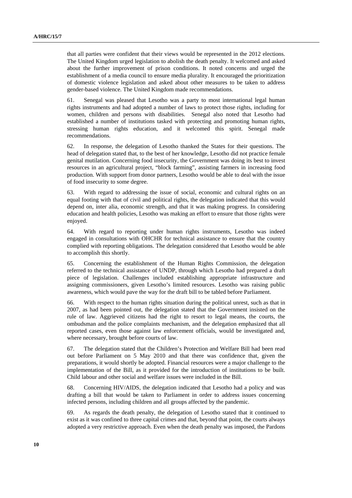that all parties were confident that their views would be represented in the 2012 elections. The United Kingdom urged legislation to abolish the death penalty. It welcomed and asked about the further improvement of prison conditions. It noted concerns and urged the establishment of a media council to ensure media plurality. It encouraged the prioritization of domestic violence legislation and asked about other measures to be taken to address gender-based violence. The United Kingdom made recommendations.

61. Senegal was pleased that Lesotho was a party to most international legal human rights instruments and had adopted a number of laws to protect those rights, including for women, children and persons with disabilities. Senegal also noted that Lesotho had established a number of institutions tasked with protecting and promoting human rights, stressing human rights education, and it welcomed this spirit. Senegal made recommendations.

62. In response, the delegation of Lesotho thanked the States for their questions. The head of delegation stated that, to the best of her knowledge, Lesotho did not practice female genital mutilation. Concerning food insecurity, the Government was doing its best to invest resources in an agricultural project, "block farming", assisting farmers in increasing food production. With support from donor partners, Lesotho would be able to deal with the issue of food insecurity to some degree.

63. With regard to addressing the issue of social, economic and cultural rights on an equal footing with that of civil and political rights, the delegation indicated that this would depend on, inter alia, economic strength, and that it was making progress. In considering education and health policies, Lesotho was making an effort to ensure that those rights were enjoyed.

64. With regard to reporting under human rights instruments, Lesotho was indeed engaged in consultations with OHCHR for technical assistance to ensure that the country complied with reporting obligations. The delegation considered that Lesotho would be able to accomplish this shortly.

65. Concerning the establishment of the Human Rights Commission, the delegation referred to the technical assistance of UNDP, through which Lesotho had prepared a draft piece of legislation. Challenges included establishing appropriate infrastructure and assigning commissioners, given Lesotho's limited resources. Lesotho was raising public awareness, which would pave the way for the draft bill to be tabled before Parliament.

66. With respect to the human rights situation during the political unrest, such as that in 2007, as had been pointed out, the delegation stated that the Government insisted on the rule of law. Aggrieved citizens had the right to resort to legal means, the courts, the ombudsman and the police complaints mechanism, and the delegation emphasized that all reported cases, even those against law enforcement officials, would be investigated and, where necessary, brought before courts of law.

67. The delegation stated that the Children's Protection and Welfare Bill had been read out before Parliament on 5 May 2010 and that there was confidence that, given the preparations, it would shortly be adopted. Financial resources were a major challenge to the implementation of the Bill, as it provided for the introduction of institutions to be built. Child labour and other social and welfare issues were included in the Bill.

68. Concerning HIV/AIDS, the delegation indicated that Lesotho had a policy and was drafting a bill that would be taken to Parliament in order to address issues concerning infected persons, including children and all groups affected by the pandemic.

69. As regards the death penalty, the delegation of Lesotho stated that it continued to exist as it was confined to three capital crimes and that, beyond that point, the courts always adopted a very restrictive approach. Even when the death penalty was imposed, the Pardons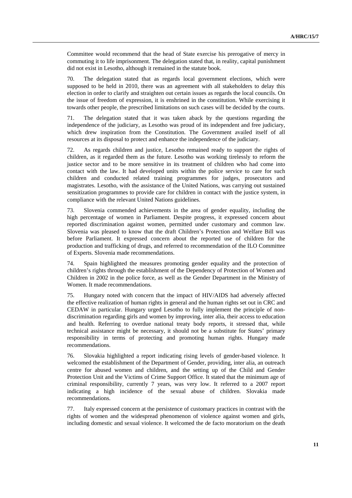Committee would recommend that the head of State exercise his prerogative of mercy in commuting it to life imprisonment. The delegation stated that, in reality, capital punishment did not exist in Lesotho, although it remained in the statute book.

70. The delegation stated that as regards local government elections, which were supposed to be held in 2010, there was an agreement with all stakeholders to delay this election in order to clarify and straighten out certain issues as regards the local councils. On the issue of freedom of expression, it is enshrined in the constitution. While exercising it towards other people, the prescribed limitations on such cases will be decided by the courts.

71. The delegation stated that it was taken aback by the questions regarding the independence of the judiciary, as Lesotho was proud of its independent and free judiciary, which drew inspiration from the Constitution. The Government availed itself of all resources at its disposal to protect and enhance the independence of the judiciary.

72. As regards children and justice, Lesotho remained ready to support the rights of children, as it regarded them as the future. Lesotho was working tirelessly to reform the justice sector and to be more sensitive in its treatment of children who had come into contact with the law. It had developed units within the police service to care for such children and conducted related training programmes for judges, prosecutors and magistrates. Lesotho, with the assistance of the United Nations, was carrying out sustained sensitization programmes to provide care for children in contact with the justice system, in compliance with the relevant United Nations guidelines.

73. Slovenia commended achievements in the area of gender equality, including the high percentage of women in Parliament. Despite progress, it expressed concern about reported discrimination against women, permitted under customary and common law. Slovenia was pleased to know that the draft Children's Protection and Welfare Bill was before Parliament. It expressed concern about the reported use of children for the production and trafficking of drugs, and referred to recommendation of the ILO Committee of Experts. Slovenia made recommendations.

74. Spain highlighted the measures promoting gender equality and the protection of children's rights through the establishment of the Dependency of Protection of Women and Children in 2002 in the police force, as well as the Gender Department in the Ministry of Women. It made recommendations.

75. Hungary noted with concern that the impact of HIV/AIDS had adversely affected the effective realization of human rights in general and the human rights set out in CRC and CEDAW in particular. Hungary urged Lesotho to fully implement the principle of nondiscrimination regarding girls and women by improving, inter alia, their access to education and health. Referring to overdue national treaty body reports, it stressed that, while technical assistance might be necessary, it should not be a substitute for States' primary responsibility in terms of protecting and promoting human rights. Hungary made recommendations.

76. Slovakia highlighted a report indicating rising levels of gender-based violence. It welcomed the establishment of the Department of Gender, providing, inter alia, an outreach centre for abused women and children, and the setting up of the Child and Gender Protection Unit and the Victims of Crime Support Office. It stated that the minimum age of criminal responsibility, currently 7 years, was very low. It referred to a 2007 report indicating a high incidence of the sexual abuse of children. Slovakia made recommendations.

77. Italy expressed concern at the persistence of customary practices in contrast with the rights of women and the widespread phenomenon of violence against women and girls, including domestic and sexual violence. It welcomed the de facto moratorium on the death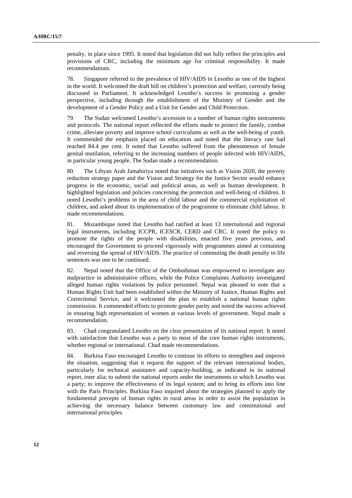penalty, in place since 1995. It noted that legislation did not fully reflect the principles and provisions of CRC, including the minimum age for criminal responsibility. It made recommendations.

78. Singapore referred to the prevalence of HIV/AIDS in Lesotho as one of the highest in the world. It welcomed the draft bill on children's protection and welfare, currently being discussed in Parliament. It acknowledged Lesotho's success in promoting a gender perspective, including through the establishment of the Ministry of Gender and the development of a Gender Policy and a Unit for Gender and Child Protection.

79. The Sudan welcomed Lesotho's accession to a number of human rights instruments and protocols. The national report reflected the efforts made to protect the family, combat crime, alleviate poverty and improve school curriculums as well as the well-being of youth. It commended the emphasis placed on education and noted that the literacy rate had reached 84.4 per cent. It noted that Lesotho suffered from the phenomenon of female genital mutilation, referring to the increasing numbers of people infected with HIV/AIDS, in particular young people. The Sudan made a recommendation.

80. The Libyan Arab Jamahiriya noted that initiatives such as Vision 2020, the poverty reduction strategy paper and the Vision and Strategy for the Justice Sector would enhance progress in the economic, social and political areas, as well as human development. It highlighted legislation and policies concerning the protection and well-being of children. It noted Lesotho's problems in the area of child labour and the commercial exploitation of children, and asked about its implementation of the programme to eliminate child labour. It made recommendations.

81. Mozambique noted that Lesotho had ratified at least 13 international and regional legal instruments, including ICCPR, ICESCR, CERD and CRC. It noted the policy to promote the rights of the people with disabilities, enacted five years previous, and encouraged the Government to proceed vigorously with programmes aimed at containing and reversing the spread of HIV/AIDS. The practice of commuting the death penalty to life sentences was one to be continued.

82. Nepal noted that the Office of the Ombudsman was empowered to investigate any malpractice in administrative offices, while the Police Complaints Authority investigated alleged human rights violations by police personnel. Nepal was pleased to note that a Human Rights Unit had been established within the Ministry of Justice, Human Rights and Correctional Service, and it welcomed the plan to establish a national human rights commission. It commended efforts to promote gender parity and noted the success achieved in ensuring high representation of women at various levels of government. Nepal made a recommendation.

83. Chad congratulated Lesotho on the clear presentation of its national report. It noted with satisfaction that Lesotho was a party to most of the core human rights instruments, whether regional or international. Chad made recommendations.

84. Burkina Faso encouraged Lesotho to continue its efforts to strengthen and improve the situation, suggesting that it request the support of the relevant international bodies, particularly for technical assistance and capacity-building, as indicated in its national report, inter alia; to submit the national reports under the instruments to which Lesotho was a party; to improve the effectiveness of its legal system; and to bring its efforts into line with the Paris Principles. Burkina Faso inquired about the strategies planned to apply the fundamental precepts of human rights in rural areas in order to assist the population in achieving the necessary balance between customary law and constitutional and international principles.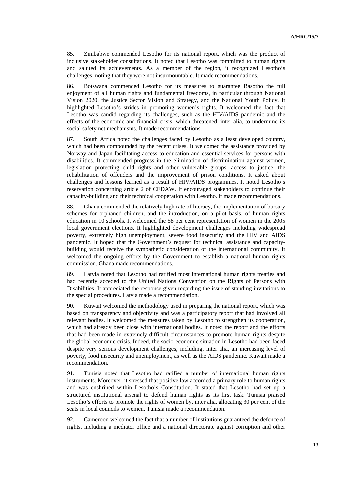85. Zimbabwe commended Lesotho for its national report, which was the product of inclusive stakeholder consultations. It noted that Lesotho was committed to human rights and saluted its achievements. As a member of the region, it recognized Lesotho's challenges, noting that they were not insurmountable. It made recommendations.

86. Botswana commended Lesotho for its measures to guarantee Basotho the full enjoyment of all human rights and fundamental freedoms, in particular through National Vision 2020, the Justice Sector Vision and Strategy, and the National Youth Policy. It highlighted Lesotho's strides in promoting women's rights. It welcomed the fact that Lesotho was candid regarding its challenges, such as the HIV/AIDS pandemic and the effects of the economic and financial crisis, which threatened, inter alia, to undermine its social safety net mechanisms. It made recommendations.

87. South Africa noted the challenges faced by Lesotho as a least developed country, which had been compounded by the recent crises. It welcomed the assistance provided by Norway and Japan facilitating access to education and essential services for persons with disabilities. It commended progress in the elimination of discrimination against women, legislation protecting child rights and other vulnerable groups, access to justice, the rehabilitation of offenders and the improvement of prison conditions. It asked about challenges and lessons learned as a result of HIV/AIDS programmes. It noted Lesotho's reservation concerning article 2 of CEDAW. It encouraged stakeholders to continue their capacity-building and their technical cooperation with Lesotho. It made recommendations.

88. Ghana commended the relatively high rate of literacy, the implementation of bursary schemes for orphaned children, and the introduction, on a pilot basis, of human rights education in 10 schools. It welcomed the 58 per cent representation of women in the 2005 local government elections. It highlighted development challenges including widespread poverty, extremely high unemployment, severe food insecurity and the HIV and AIDS pandemic. It hoped that the Government's request for technical assistance and capacitybuilding would receive the sympathetic consideration of the international community. It welcomed the ongoing efforts by the Government to establish a national human rights commission. Ghana made recommendations.

89. Latvia noted that Lesotho had ratified most international human rights treaties and had recently acceded to the United Nations Convention on the Rights of Persons with Disabilities. It appreciated the response given regarding the issue of standing invitations to the special procedures. Latvia made a recommendation.

90. Kuwait welcomed the methodology used in preparing the national report, which was based on transparency and objectivity and was a participatory report that had involved all relevant bodies. It welcomed the measures taken by Lesotho to strengthen its cooperation, which had already been close with international bodies. It noted the report and the efforts that had been made in extremely difficult circumstances to promote human rights despite the global economic crisis. Indeed, the socio-economic situation in Lesotho had been faced despite very serious development challenges, including, inter alia, an increasing level of poverty, food insecurity and unemployment, as well as the AIDS pandemic. Kuwait made a recommendation.

91. Tunisia noted that Lesotho had ratified a number of international human rights instruments. Moreover, it stressed that positive law accorded a primary role to human rights and was enshrined within Lesotho's Constitution. It stated that Lesotho had set up a structured institutional arsenal to defend human rights as its first task. Tunisia praised Lesotho's efforts to promote the rights of women by, inter alia, allocating 30 per cent of the seats in local councils to women. Tunisia made a recommendation.

92. Cameroon welcomed the fact that a number of institutions guaranteed the defence of rights, including a mediator office and a national directorate against corruption and other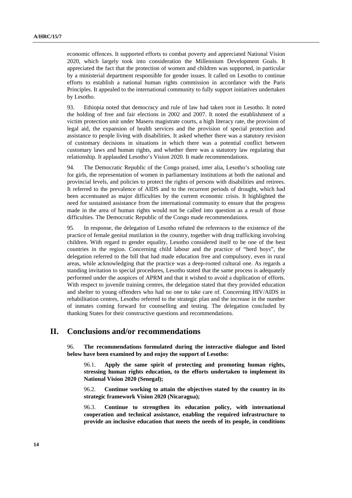economic offences. It supported efforts to combat poverty and appreciated National Vision 2020, which largely took into consideration the Millennium Development Goals. It appreciated the fact that the protection of women and children was supported, in particular by a ministerial department responsible for gender issues. It called on Lesotho to continue efforts to establish a national human rights commission in accordance with the Paris Principles. It appealed to the international community to fully support initiatives undertaken by Lesotho.

93. Ethiopia noted that democracy and rule of law had taken root in Lesotho. It noted the holding of free and fair elections in 2002 and 2007. It noted the establishment of a victim protection unit under Maseru magistrate courts, a high literacy rate, the provision of legal aid, the expansion of health services and the provision of special protection and assistance to people living with disabilities. It asked whether there was a statutory revision of customary decisions in situations in which there was a potential conflict between customary laws and human rights, and whether there was a statutory law regulating that relationship. It applauded Lesotho's Vision 2020. It made recommendations.

94. The Democratic Republic of the Congo praised, inter alia, Lesotho's schooling rate for girls, the representation of women in parliamentary institutions at both the national and provincial levels, and policies to protect the rights of persons with disabilities and retirees. It referred to the prevalence of AIDS and to the recurrent periods of drought, which had been accentuated as major difficulties by the current economic crisis. It highlighted the need for sustained assistance from the international community to ensure that the progress made in the area of human rights would not be called into question as a result of those difficulties. The Democratic Republic of the Congo made recommendations.

95. In response, the delegation of Lesotho refuted the references to the existence of the practice of female genital mutilation in the country, together with drug trafficking involving children. With regard to gender equality, Lesotho considered itself to be one of the best countries in the region. Concerning child labour and the practice of "herd boys", the delegation referred to the bill that had made education free and compulsory, even in rural areas, while acknowledging that the practice was a deep-rooted cultural one. As regards a standing invitation to special procedures, Lesotho stated that the same process is adequately performed under the auspices of APRM and that it wished to avoid a duplication of efforts. With respect to juvenile training centres, the delegation stated that they provided education and shelter to young offenders who had no one to take care of. Concerning HIV/AIDS in rehabilitation centres, Lesotho referred to the strategic plan and the increase in the number of inmates coming forward for counselling and testing. The delegation concluded by thanking States for their constructive questions and recommendations.

# **II. Conclusions and/or recommendations**

96. **The recommendations formulated during the interactive dialogue and listed below have been examined by and enjoy the support of Lesotho:**

96.1. **Apply the same spirit of protecting and promoting human rights, stressing human rights education, to the efforts undertaken to implement its National Vision 2020 (Senegal);**

96.2. **Continue working to attain the objectives stated by the country in its strategic framework Vision 2020 (Nicaragua);**

96.3. **Continue to strengthen its education policy, with international cooperation and technical assistance, enabling the required infrastructure to provide an inclusive education that meets the needs of its people, in conditions**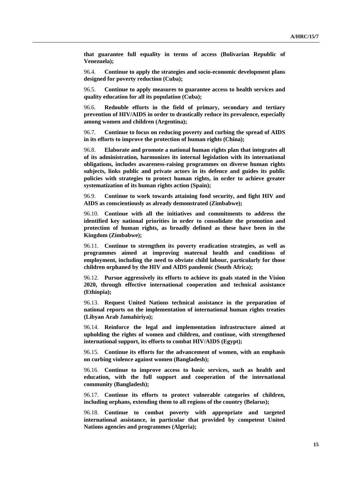**that guarantee full equality in terms of access (Bolivarian Republic of Venezuela);**

96.4. **Continue to apply the strategies and socio-economic development plans designed for poverty reduction (Cuba);**

96.5. **Continue to apply measures to guarantee access to health services and quality education for all its population (Cuba);**

96.6. **Redouble efforts in the field of primary, secondary and tertiary prevention of HIV/AIDS in order to drastically reduce its prevalence, especially among women and children (Argentina);**

96.7. **Continue to focus on reducing poverty and curbing the spread of AIDS in its efforts to improve the protection of human rights (China);** 

96.8. **Elaborate and promote a national human rights plan that integrates all of its administration, harmonizes its internal legislation with its international obligations, includes awareness-raising programmes on diverse human rights subjects, links public and private actors in its defence and guides its public policies with strategies to protect human rights, in order to achieve greater systematization of its human rights action (Spain);** 

96.9. **Continue to work towards attaining food security, and fight HIV and AIDS as conscientiously as already demonstrated (Zimbabwe);** 

96.10. **Continue with all the initiatives and commitments to address the identified key national priorities in order to consolidate the promotion and protection of human rights, as broadly defined as these have been in the Kingdom (Zimbabwe);** 

96.11. **Continue to strengthen its poverty eradication strategies, as well as programmes aimed at improving maternal health and conditions of employment, including the need to obviate child labour, particularly for those children orphaned by the HIV and AIDS pandemic (South Africa);** 

96.12. **Pursue aggressively its efforts to achieve its goals stated in the Vision 2020, through effective international cooperation and technical assistance (Ethiopia);** 

96.13. **Request United Nations technical assistance in the preparation of national reports on the implementation of international human rights treaties (Libyan Arab Jamahiriya);** 

96.14. **Reinforce the legal and implementation infrastructure aimed at upholding the rights of women and children, and continue, with strengthened international support, its efforts to combat HIV/AIDS (Egypt);** 

96.15. **Continue its efforts for the advancement of women, with an emphasis on curbing violence against women (Bangladesh);** 

96.16. **Continue to improve access to basic services, such as health and education, with the full support and cooperation of the international community (Bangladesh);**

96.17. **Continue its efforts to protect vulnerable categories of children, including orphans, extending them to all regions of the country (Belarus);** 

96.18. **Continue to combat poverty with appropriate and targeted international assistance, in particular that provided by competent United Nations agencies and programmes (Algeria);**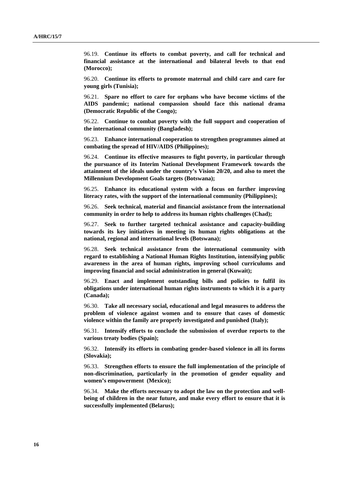96.19. **Continue its efforts to combat poverty, and call for technical and financial assistance at the international and bilateral levels to that end (Morocco);** 

96.20. **Continue its efforts to promote maternal and child care and care for young girls (Tunisia);** 

96.21. **Spare no effort to care for orphans who have become victims of the AIDS pandemic; national compassion should face this national drama (Democratic Republic of the Congo);** 

96.22. **Continue to combat poverty with the full support and cooperation of the international community (Bangladesh);** 

96.23. **Enhance international cooperation to strengthen programmes aimed at combating the spread of HIV/AIDS (Philippines);** 

96.24. **Continue its effective measures to fight poverty, in particular through the pursuance of its Interim National Development Framework towards the attainment of the ideals under the country's Vision 20/20, and also to meet the Millennium Development Goals targets (Botswana);** 

96.25. **Enhance its educational system with a focus on further improving literacy rates, with the support of the international community (Philippines);** 

96.26. **Seek technical, material and financial assistance from the international community in order to help to address its human rights challenges (Chad);** 

96.27. **Seek to further targeted technical assistance and capacity-building towards its key initiatives in meeting its human rights obligations at the national, regional and international levels (Botswana);** 

96.28. **Seek technical assistance from the international community with regard to establishing a National Human Rights Institution, intensifying public awareness in the area of human rights, improving school curriculums and improving financial and social administration in general (Kuwait);** 

96.29. **Enact and implement outstanding bills and policies to fulfil its obligations under international human rights instruments to which it is a party (Canada);** 

96.30. **Take all necessary social, educational and legal measures to address the problem of violence against women and to ensure that cases of domestic violence within the family are properly investigated and punished (Italy);** 

96.31. **Intensify efforts to conclude the submission of overdue reports to the various treaty bodies (Spain);** 

96.32. **Intensify its efforts in combating gender-based violence in all its forms (Slovakia);** 

96.33. **Strengthen efforts to ensure the full implementation of the principle of non-discrimination, particularly in the promotion of gender equality and women's empowerment (Mexico);** 

96.34. **Make the efforts necessary to adopt the law on the protection and wellbeing of children in the near future, and make every effort to ensure that it is successfully implemented (Belarus);**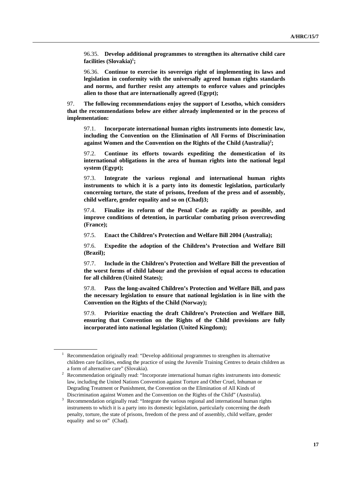96.35. **Develop additional programmes to strengthen its alternative child care**  facilities (Slovakia)<sup>1</sup>;

96.36. **Continue to exercise its sovereign right of implementing its laws and legislation in conformity with the universally agreed human rights standards and norms, and further resist any attempts to enforce values and principles alien to those that are internationally agreed (Egypt);** 

97. **The following recommendations enjoy the support of Lesotho, which considers that the recommendations below are either already implemented or in the process of implementation:**

97.1. **Incorporate international human rights instruments into domestic law, including the Convention on the Elimination of All Forms of Discrimination**  against Women and the Convention on the Rights of the Child (Australia)<sup>2</sup>;

97.2. **Continue its efforts towards expediting the domestication of its international obligations in the area of human rights into the national legal system (Egypt);** 

97.3. **Integrate the various regional and international human rights instruments to which it is a party into its domestic legislation, particularly concerning torture, the state of prisons, freedom of the press and of assembly, child welfare, gender equality and so on (Chad)3;** 

97.4. **Finalize its reform of the Penal Code as rapidly as possible, and improve conditions of detention, in particular combating prison overcrowding (France);** 

97.5. **Enact the Children's Protection and Welfare Bill 2004 (Australia);** 

97.6. **Expedite the adoption of the Children's Protection and Welfare Bill (Brazil);** 

97.7. **Include in the Children's Protection and Welfare Bill the prevention of the worst forms of child labour and the provision of equal access to education for all children (United States);** 

97.8. **Pass the long-awaited Children's Protection and Welfare Bill, and pass the necessary legislation to ensure that national legislation is in line with the Convention on the Rights of the Child (Norway);** 

97.9. **Prioritize enacting the draft Children's Protection and Welfare Bill, ensuring that Convention on the Rights of the Child provisions are fully incorporated into national legislation (United Kingdom);** 

<sup>&</sup>lt;sup>1</sup> Recommendation originally read: "Develop additional programmes to strengthen its alternative children care facilities, ending the practice of using the Juvenile Training Centres to detain children as a form of alternative care" (Slovakia).

 $2$  Recommendation originally read: "Incorporate international human rights instruments into domestic law, including the United Nations Convention against Torture and Other Cruel, Inhuman or Degrading Treatment or Punishment, the Convention on the Elimination of All Kinds of

Discrimination against Women and the Convention on the Rights of the Child" (Australia). Recommendation originally read: "Integrate the various regional and international human rights instruments to which it is a party into its domestic legislation, particularly concerning the death penalty, torture, the state of prisons, freedom of the press and of assembly, child welfare, gender equality and so on" (Chad).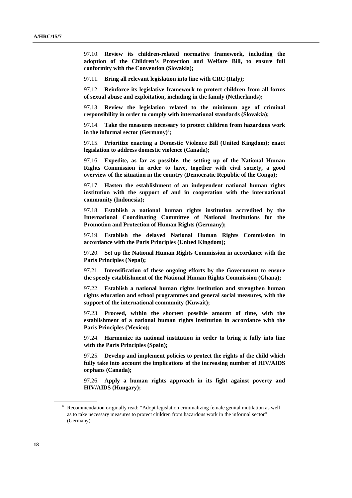97.10. **Review its children-related normative framework, including the adoption of the Children's Protection and Welfare Bill, to ensure full conformity with the Convention (Slovakia);** 

97.11. **Bring all relevant legislation into line with CRC (Italy);** 

97.12. **Reinforce its legislative framework to protect children from all forms of sexual abuse and exploitation, including in the family (Netherlands);** 

97.13. **Review the legislation related to the minimum age of criminal responsibility in order to comply with international standards (Slovakia);** 

97.14. **Take the measures necessary to protect children from hazardous work in the informal sector (Germany)4 ;** 

97.15. **Prioritize enacting a Domestic Violence Bill (United Kingdom); enact legislation to address domestic violence (Canada);** 

97.16. **Expedite, as far as possible, the setting up of the National Human Rights Commission in order to have, together with civil society, a good overview of the situation in the country (Democratic Republic of the Congo);** 

97.17. **Hasten the establishment of an independent national human rights institution with the support of and in cooperation with the international community (Indonesia);** 

97.18. **Establish a national human rights institution accredited by the International Coordinating Committee of National Institutions for the Promotion and Protection of Human Rights (Germany);** 

97.19. **Establish the delayed National Human Rights Commission in accordance with the Paris Principles (United Kingdom);** 

97.20. **Set up the National Human Rights Commission in accordance with the Paris Principles (Nepal);** 

97.21. **Intensification of these ongoing efforts by the Government to ensure the speedy establishment of the National Human Rights Commission (Ghana);** 

97.22. **Establish a national human rights institution and strengthen human rights education and school programmes and general social measures, with the support of the international community (Kuwait);** 

97.23. **Proceed, within the shortest possible amount of time, with the establishment of a national human rights institution in accordance with the Paris Principles (Mexico);** 

97.24. **Harmonize its national institution in order to bring it fully into line with the Paris Principles (Spain);** 

97.25. **Develop and implement policies to protect the rights of the child which fully take into account the implications of the increasing number of HIV/AIDS orphans (Canada);** 

97.26. **Apply a human rights approach in its fight against poverty and HIV/AIDS (Hungary);** 

<sup>&</sup>lt;sup>4</sup> Recommendation originally read: "Adopt legislation criminalizing female genital mutilation as well as to take necessary measures to protect children from hazardous work in the informal sector" (Germany).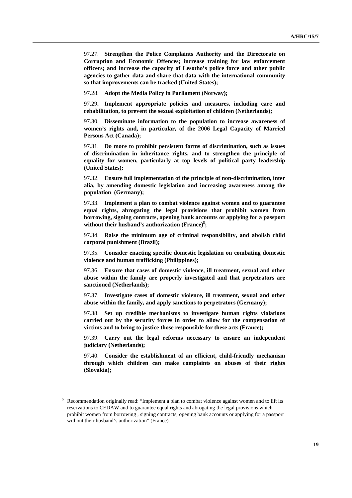97.27. **Strengthen the Police Complaints Authority and the Directorate on Corruption and Economic Offences; increase training for law enforcement officers; and increase the capacity of Lesotho's police force and other public agencies to gather data and share that data with the international community so that improvements can be tracked (United States);** 

97.28. **Adopt the Media Policy in Parliament (Norway);** 

97.29**. Implement appropriate policies and measures, including care and rehabilitation, to prevent the sexual exploitation of children (Netherlands);** 

97.30. **Disseminate information to the population to increase awareness of women's rights and, in particular, of the 2006 Legal Capacity of Married Persons Act (Canada);** 

97.31. **Do more to prohibit persistent forms of discrimination, such as issues of discrimination in inheritance rights, and to strengthen the principle of equality for women, particularly at top levels of political party leadership (United States);** 

97.32. **Ensure full implementation of the principle of non-discrimination, inter alia, by amending domestic legislation and increasing awareness among the population (Germany);** 

97.33. **Implement a plan to combat violence against women and to guarantee equal rights, abrogating the legal provisions that prohibit women from borrowing, signing contracts, opening bank accounts or applying for a passport**  without their husband's authorization (France)<sup>5</sup>;

97.34. **Raise the minimum age of criminal responsibility, and abolish child corporal punishment (Brazil);** 

97.35. **Consider enacting specific domestic legislation on combating domestic violence and human trafficking (Philippines);** 

97.36. **Ensure that cases of domestic violence, ill treatment, sexual and other abuse within the family are properly investigated and that perpetrators are sanctioned (Netherlands);** 

97.37. **Investigate cases of domestic violence, ill treatment, sexual and other abuse within the family, and apply sanctions to perpetrators (Germany);** 

97.38. **Set up credible mechanisms to investigate human rights violations carried out by the security forces in order to allow for the compensation of victims and to bring to justice those responsible for these acts (France);** 

97.39. **Carry out the legal reforms necessary to ensure an independent judiciary (Netherlands);** 

97.40. **Consider the establishment of an efficient, child-friendly mechanism through which children can make complaints on abuses of their rights (Slovakia);** 

<sup>&</sup>lt;sup>5</sup> Recommendation originally read: "Implement a plan to combat violence against women and to lift its reservations to CEDAW and to guarantee equal rights and abrogating the legal provisions which prohibit women from borrowing , signing contracts, opening bank accounts or applying for a passport without their husband's authorization" (France).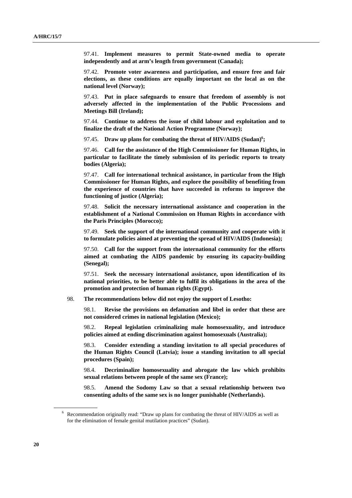97.41. **Implement measures to permit State-owned media to operate independently and at arm's length from government (Canada);** 

97.42. **Promote voter awareness and participation, and ensure free and fair elections, as these conditions are equally important on the local as on the national level (Norway);** 

97.43. **Put in place safeguards to ensure that freedom of assembly is not adversely affected in the implementation of the Public Processions and Meetings Bill (Ireland);** 

97.44. **Continue to address the issue of child labour and exploitation and to finalize the draft of the National Action Programme (Norway);** 

97.45. Draw up plans for combating the threat of HIV/AIDS (Sudan)<sup>6</sup>;

97.46. **Call for the assistance of the High Commissioner for Human Rights, in particular to facilitate the timely submission of its periodic reports to treaty bodies (Algeria);** 

97.47. **Call for international technical assistance, in particular from the High Commissioner for Human Rights, and explore the possibility of benefiting from the experience of countries that have succeeded in reforms to improve the functioning of justice (Algeria);** 

97.48. **Solicit the necessary international assistance and cooperation in the establishment of a National Commission on Human Rights in accordance with the Paris Principles (Morocco);** 

97.49. **Seek the support of the international community and cooperate with it to formulate policies aimed at preventing the spread of HIV/AIDS (Indonesia);** 

97.50. **Call for the support from the international community for the efforts aimed at combating the AIDS pandemic by ensuring its capacity-building (Senegal);** 

97.51. **Seek the necessary international assistance, upon identification of its national priorities, to be better able to fulfil its obligations in the area of the promotion and protection of human rights (Egypt).** 

98. **The recommendations below did not enjoy the support of Lesotho:**

98.1. **Revise the provisions on defamation and libel in order that these are not considered crimes in national legislation (Mexico);** 

98.2. **Repeal legislation criminalizing male homosexuality, and introduce policies aimed at ending discrimination against homosexuals (Australia);** 

98.3. **Consider extending a standing invitation to all special procedures of the Human Rights Council (Latvia); issue a standing invitation to all special procedures (Spain);** 

98.4. **Decriminalize homosexuality and abrogate the law which prohibits sexual relations between people of the same sex (France);** 

98.5. **Amend the Sodomy Law so that a sexual relationship between two consenting adults of the same sex is no longer punishable (Netherlands).** 

<sup>&</sup>lt;sup>6</sup> Recommendation originally read: "Draw up plans for combating the threat of HIV/AIDS as well as for the elimination of female genital mutilation practices" (Sudan).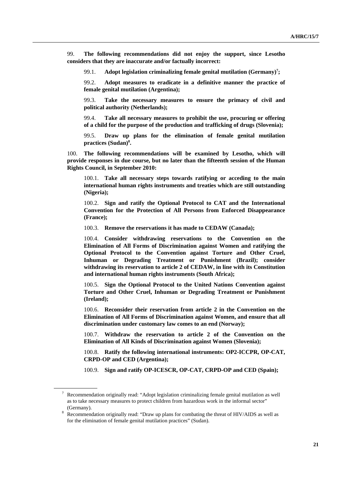99. **The following recommendations did not enjoy the support, since Lesotho considers that they are inaccurate and/or factually incorrect:**

99.1. Adopt legislation criminalizing female genital mutilation (Germany)<sup>7</sup>;

99.2. **Adopt measures to eradicate in a definitive manner the practice of female genital mutilation (Argentina);** 

99.3. **Take the necessary measures to ensure the primacy of civil and political authority (Netherlands);** 

99.4. **Take all necessary measures to prohibit the use, procuring or offering of a child for the purpose of the production and trafficking of drugs (Slovenia);** 

99.5. **Draw up plans for the elimination of female genital mutilation practices (Sudan)8 .** 

100. **The following recommendations will be examined by Lesotho, which will provide responses in due course, but no later than the fifteenth session of the Human Rights Council, in September 2010:**

100.1. **Take all necessary steps towards ratifying or acceding to the main international human rights instruments and treaties which are still outstanding (Nigeria);** 

100.2. **Sign and ratify the Optional Protocol to CAT and the International Convention for the Protection of All Persons from Enforced Disappearance (France);** 

100.3. **Remove the reservations it has made to CEDAW (Canada);** 

100.4. **Consider withdrawing reservations to the Convention on the Elimination of All Forms of Discrimination against Women and ratifying the Optional Protocol to the Convention against Torture and Other Cruel, Inhuman or Degrading Treatment or Punishment (Brazil); consider withdrawing its reservation to article 2 of CEDAW, in line with its Constitution and international human rights instruments (South Africa);** 

100.5. **Sign the Optional Protocol to the United Nations Convention against Torture and Other Cruel, Inhuman or Degrading Treatment or Punishment (Ireland);** 

100.6. **Reconsider their reservation from article 2 in the Convention on the Elimination of All Forms of Discrimination against Women, and ensure that all discrimination under customary law comes to an end (Norway);** 

100.7. **Withdraw the reservation to article 2 of the Convention on the Elimination of All Kinds of Discrimination against Women (Slovenia);** 

100.8. **Ratify the following international instruments: OP2-ICCPR, OP-CAT, CRPD-OP and CED (Argentina);** 

100.9. **Sign and ratify OP-ICESCR, OP-CAT, CRPD-OP and CED (Spain);** 

 $7$  Recommendation originally read: "Adopt legislation criminalizing female genital mutilation as well as to take necessary measures to protect children from hazardous work in the informal sector" (Germany). 8 Recommendation originally read: "Draw up plans for combating the threat of HIV/AIDS as well as

for the elimination of female genital mutilation practices" (Sudan).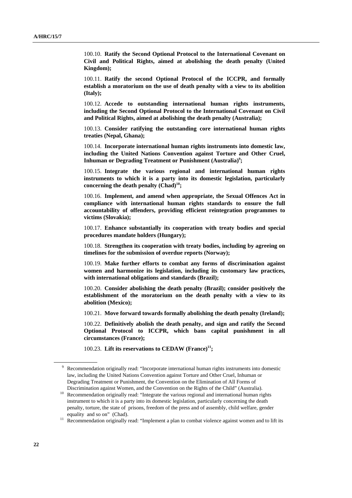100.10. **Ratify the Second Optional Protocol to the International Covenant on Civil and Political Rights, aimed at abolishing the death penalty (United Kingdom);** 

100.11. **Ratify the second Optional Protocol of the ICCPR, and formally establish a moratorium on the use of death penalty with a view to its abolition (Italy);** 

100.12. **Accede to outstanding international human rights instruments, including the Second Optional Protocol to the International Covenant on Civil and Political Rights, aimed at abolishing the death penalty (Australia);** 

100.13. **Consider ratifying the outstanding core international human rights treaties (Nepal, Ghana);** 

100.14. **Incorporate international human rights instruments into domestic law, including the United Nations Convention against Torture and Other Cruel,**  Inhuman or Degrading Treatment or Punishment (Australia)<sup>9</sup>;

100.15. **Integrate the various regional and international human rights instruments to which it is a party into its domestic legislation, particularly**  concerning the death penalty (Chad)<sup>10</sup>;

100.16. **Implement, and amend when appropriate, the Sexual Offences Act in compliance with international human rights standards to ensure the full accountability of offenders, providing efficient reintegration programmes to victims (Slovakia);** 

100.17. **Enhance substantially its cooperation with treaty bodies and special procedures mandate holders (Hungary);** 

100.18. **Strengthen its cooperation with treaty bodies, including by agreeing on timelines for the submission of overdue reports (Norway);** 

100.19. **Make further efforts to combat any forms of discrimination against women and harmonize its legislation, including its customary law practices, with international obligations and standards (Brazil);** 

100.20. **Consider abolishing the death penalty (Brazil); consider positively the establishment of the moratorium on the death penalty with a view to its abolition (Mexico);** 

100.21. **Move forward towards formally abolishing the death penalty (Ireland);** 

100.22. **Definitively abolish the death penalty, and sign and ratify the Second Optional Protocol to ICCPR, which bans capital punishment in all circumstances (France);** 

100.23. Lift its reservations to CEDAW (France)<sup>11</sup>;

<sup>&</sup>lt;sup>9</sup> Recommendation originally read: "Incorporate international human rights instruments into domestic law, including the United Nations Convention against Torture and Other Cruel, Inhuman or Degrading Treatment or Punishment, the Convention on the Elimination of All Forms of

Discrimination against Women, and the Convention on the Rights of the Child" (Australia). 10 Recommendation originally read: "Integrate the various regional and international human rights instrument to which it is a party into its domestic legislation, particularly concerning the death penalty, torture, the state of prisons, freedom of the press and of assembly, child welfare, gender equality and so on" (Chad).<br><sup>11</sup> Recommendation originally read: "Implement a plan to combat violence against women and to lift its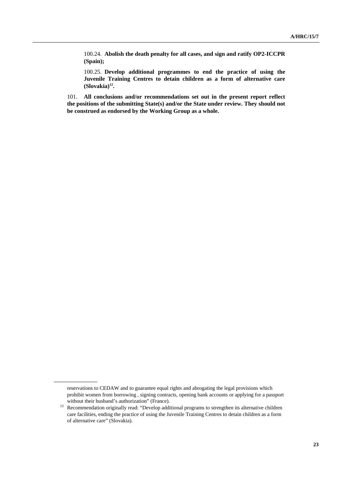100.24. **Abolish the death penalty for all cases, and sign and ratify OP2-ICCPR (Spain);** 

100.25. **Develop additional programmes to end the practice of using the Juvenile Training Centres to detain children as a form of alternative care**   $(Slovakia)<sup>12</sup>$ .

101. **All conclusions and/or recommendations set out in the present report reflect the positions of the submitting State(s) and/or the State under review. They should not be construed as endorsed by the Working Group as a whole.**

reservations to CEDAW and to guarantee equal rights and abrogating the legal provisions which prohibit women from borrowing , signing contracts, opening bank accounts or applying for a passport

without their husband's authorization" (France).<br><sup>12</sup> Recommendation originally read: "Develop additional programs to strengthen its alternative children care facilities, ending the practice of using the Juvenile Training Centres to detain children as a form of alternative care" (Slovakia).